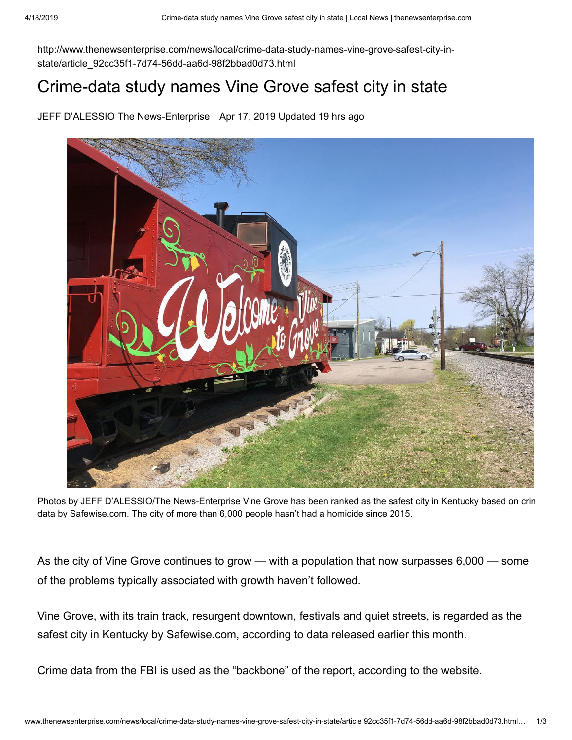http://www.thenewsenterprise.com/news/local/crime-data-study-names-vine-grove-safest-city-instate/article\_92cc35f1-7d74-56dd-aa6d-98f2bbad0d73.html

## Crime-data study names Vine Grove safest city in state

JEFF D'ALESSIO The News-Enterprise Apr 17, 2019 Updated 19 hrs ago



Photos by JEFF D'ALESSIO/The News-Enterprise Vine Grove has been ranked as the safest city in Kentucky based on crim data by [Safewise.com.](http://safewise.com/) The city of more than 6,000 people hasn't had a homicide since 2015.

As the city of Vine Grove continues to grow — with a population that now surpasses 6,000 — some of the problems typically associated with growth haven't followed.

Vine Grove, with its train track, resurgent downtown, festivals and quiet streets, is regarded as the safest city in Kentucky by [Safewise.com](http://safewise.com/), according to data released earlier this month.

Crime data from the FBI is used as the "backbone" of the report, according to the website.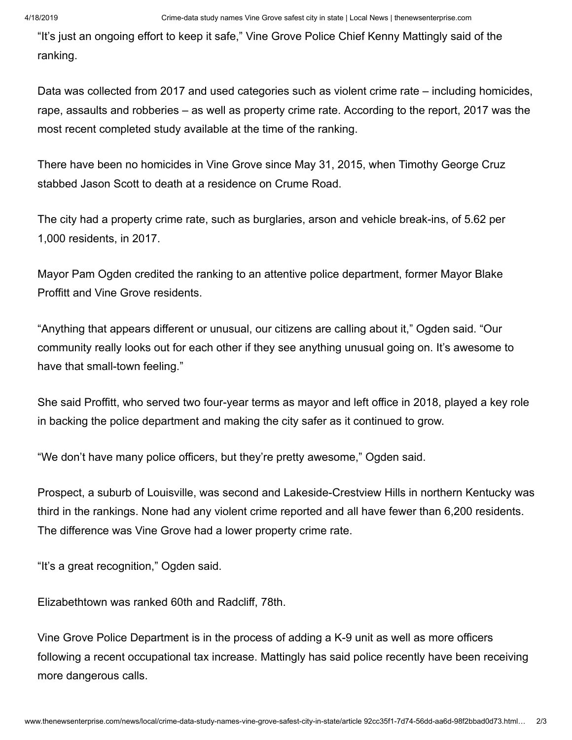"It's just an ongoing effort to keep it safe," Vine Grove Police Chief Kenny Mattingly said of the ranking.

Data was collected from 2017 and used categories such as violent crime rate – including homicides, rape, assaults and robberies – as well as property crime rate. According to the report, 2017 was the most recent completed study available at the time of the ranking.

There have been no homicides in Vine Grove since May 31, 2015, when Timothy George Cruz stabbed Jason Scott to death at a residence on Crume Road.

The city had a property crime rate, such as burglaries, arson and vehicle break-ins, of 5.62 per 1,000 residents, in 2017.

Mayor Pam Ogden credited the ranking to an attentive police department, former Mayor Blake Proffitt and Vine Grove residents.

"Anything that appears different or unusual, our citizens are calling about it," Ogden said. "Our community really looks out for each other if they see anything unusual going on. It's awesome to have that small-town feeling."

She said Proffitt, who served two four-year terms as mayor and left office in 2018, played a key role in backing the police department and making the city safer as it continued to grow.

"We don't have many police officers, but they're pretty awesome," Ogden said.

Prospect, a suburb of Louisville, was second and Lakeside-Crestview Hills in northern Kentucky was third in the rankings. None had any violent crime reported and all have fewer than 6,200 residents. The difference was Vine Grove had a lower property crime rate.

"It's a great recognition," Ogden said.

Elizabethtown was ranked 60th and Radcliff, 78th.

Vine Grove Police Department is in the process of adding a K-9 unit as well as more officers following a recent occupational tax increase. Mattingly has said police recently have been receiving more dangerous calls.